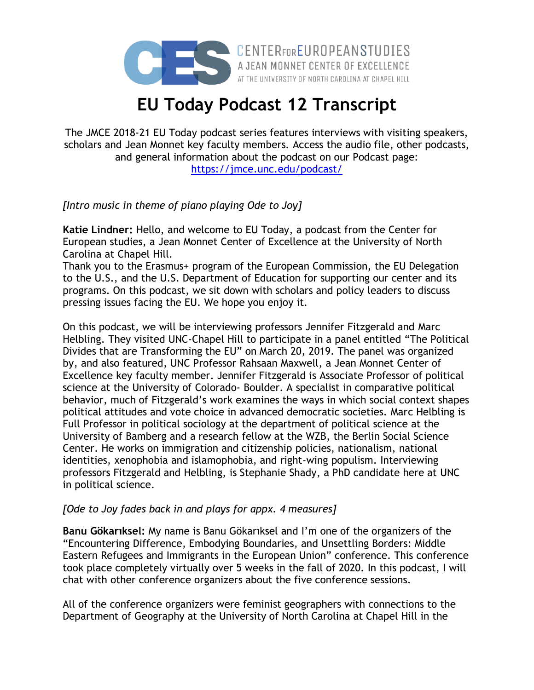

## **EU Today Podcast 12 Transcript**

The JMCE 2018-21 EU Today podcast series features interviews with visiting speakers, scholars and Jean Monnet key faculty members. Access the audio file, other podcasts, and general information about the podcast on our Podcast page: <https://jmce.unc.edu/podcast/>

*[Intro music in theme of piano playing Ode to Joy]*

**Katie Lindner:** Hello, and welcome to EU Today, a podcast from the Center for European studies, a Jean Monnet Center of Excellence at the University of North Carolina at Chapel Hill.

Thank you to the Erasmus+ program of the European Commission, the EU Delegation to the U.S., and the U.S. Department of Education for supporting our center and its programs. On this podcast, we sit down with scholars and policy leaders to discuss pressing issues facing the EU. We hope you enjoy it.

On this podcast, we will be interviewing professors Jennifer Fitzgerald and Marc Helbling. They visited UNC-Chapel Hill to participate in a panel entitled "The Political Divides that are Transforming the EU" on March 20, 2019. The panel was organized by, and also featured, UNC Professor Rahsaan Maxwell, a Jean Monnet Center of Excellence key faculty member. Jennifer Fitzgerald is Associate Professor of political science at the University of Colorado- Boulder. A specialist in comparative political behavior, much of Fitzgerald's work examines the ways in which social context shapes political attitudes and vote choice in advanced democratic societies. Marc Helbling is Full Professor in political sociology at the department of political science at the University of Bamberg and a research fellow at the WZB, the Berlin Social Science Center. He works on immigration and citizenship policies, nationalism, national identities, xenophobia and islamophobia, and right-wing populism. Interviewing professors Fitzgerald and Helbling, is Stephanie Shady, a PhD candidate here at UNC in political science.

## *[Ode to Joy fades back in and plays for appx. 4 measures]*

**Banu Gökarıksel:** My name is Banu Gökarıksel and I'm one of the organizers of the "Encountering Difference, Embodying Boundaries, and Unsettling Borders: Middle Eastern Refugees and Immigrants in the European Union" conference. This conference took place completely virtually over 5 weeks in the fall of 2020. In this podcast, I will chat with other conference organizers about the five conference sessions.

All of the conference organizers were feminist geographers with connections to the Department of Geography at the University of North Carolina at Chapel Hill in the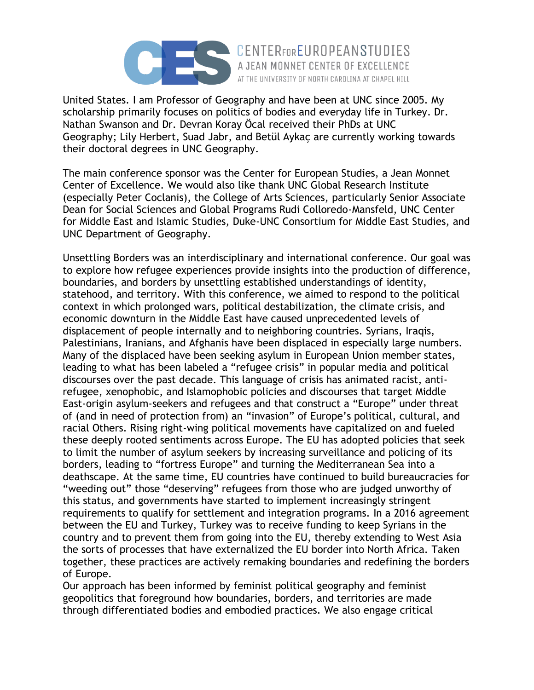

United States. I am Professor of Geography and have been at UNC since 2005. My scholarship primarily focuses on politics of bodies and everyday life in Turkey. Dr. Nathan Swanson and Dr. Devran Koray Öcal received their PhDs at UNC Geography; Lily Herbert, Suad Jabr, and Betül Aykaç are currently working towards their doctoral degrees in UNC Geography.

AT THE UNIVERSITY OF NORTH CAROLINA AT CHAPEL HILL

The main conference sponsor was the Center for European Studies, a Jean Monnet Center of Excellence. We would also like thank UNC Global Research Institute (especially Peter Coclanis), the College of Arts Sciences, particularly Senior Associate Dean for Social Sciences and Global Programs Rudi Colloredo-Mansfeld, UNC Center for Middle East and Islamic Studies, Duke-UNC Consortium for Middle East Studies, and UNC Department of Geography.

Unsettling Borders was an interdisciplinary and international conference. Our goal was to explore how refugee experiences provide insights into the production of difference, boundaries, and borders by unsettling established understandings of identity, statehood, and territory. With this conference, we aimed to respond to the political context in which prolonged wars, political destabilization, the climate crisis, and economic downturn in the Middle East have caused unprecedented levels of displacement of people internally and to neighboring countries. Syrians, Iraqis, Palestinians, Iranians, and Afghanis have been displaced in especially large numbers. Many of the displaced have been seeking asylum in European Union member states, leading to what has been labeled a "refugee crisis" in popular media and political discourses over the past decade. This language of crisis has animated racist, antirefugee, xenophobic, and Islamophobic policies and discourses that target Middle East-origin asylum-seekers and refugees and that construct a "Europe" under threat of (and in need of protection from) an "invasion" of Europe's political, cultural, and racial Others. Rising right-wing political movements have capitalized on and fueled these deeply rooted sentiments across Europe. The EU has adopted policies that seek to limit the number of asylum seekers by increasing surveillance and policing of its borders, leading to "fortress Europe" and turning the Mediterranean Sea into a deathscape. At the same time, EU countries have continued to build bureaucracies for "weeding out" those "deserving" refugees from those who are judged unworthy of this status, and governments have started to implement increasingly stringent requirements to qualify for settlement and integration programs. In a 2016 agreement between the EU and Turkey, Turkey was to receive funding to keep Syrians in the country and to prevent them from going into the EU, thereby extending to West Asia the sorts of processes that have externalized the EU border into North Africa. Taken together, these practices are actively remaking boundaries and redefining the borders of Europe.

Our approach has been informed by feminist political geography and feminist geopolitics that foreground how boundaries, borders, and territories are made through differentiated bodies and embodied practices. We also engage critical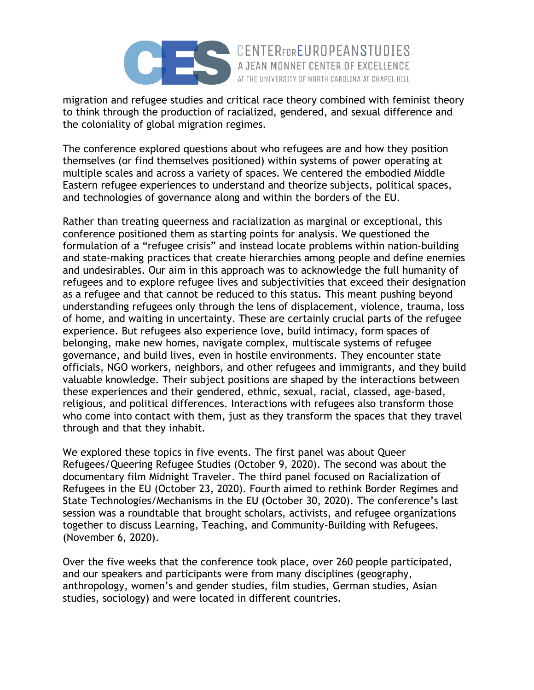

migration and refugee studies and critical race theory combined with feminist theory to think through the production of racialized, gendered, and sexual difference and the coloniality of global migration regimes.

AT THE UNIVERSITY OF NORTH CAROLINA AT CHAPEL HILL

The conference explored questions about who refugees are and how they position themselves (or find themselves positioned) within systems of power operating at multiple scales and across a variety of spaces. We centered the embodied Middle Eastern refugee experiences to understand and theorize subjects, political spaces, and technologies of governance along and within the borders of the EU.

Rather than treating queerness and racialization as marginal or exceptional, this conference positioned them as starting points for analysis. We questioned the formulation of a "refugee crisis" and instead locate problems within nation-building and state-making practices that create hierarchies among people and define enemies and undesirables. Our aim in this approach was to acknowledge the full humanity of refugees and to explore refugee lives and subjectivities that exceed their designation as a refugee and that cannot be reduced to this status. This meant pushing beyond understanding refugees only through the lens of displacement, violence, trauma, loss of home, and waiting in uncertainty. These are certainly crucial parts of the refugee experience. But refugees also experience love, build intimacy, form spaces of belonging, make new homes, navigate complex, multiscale systems of refugee governance, and build lives, even in hostile environments. They encounter state officials, NGO workers, neighbors, and other refugees and immigrants, and they build valuable knowledge. Their subject positions are shaped by the interactions between these experiences and their gendered, ethnic, sexual, racial, classed, age-based, religious, and political differences. Interactions with refugees also transform those who come into contact with them, just as they transform the spaces that they travel through and that they inhabit.

We explored these topics in five events. The first panel was about Queer Refugees/Queering Refugee Studies (October 9, 2020). The second was about the documentary film Midnight Traveler. The third panel focused on Racialization of Refugees in the EU (October 23, 2020). Fourth aimed to rethink Border Regimes and State Technologies/Mechanisms in the EU (October 30, 2020). The conference's last session was a roundtable that brought scholars, activists, and refugee organizations together to discuss Learning, Teaching, and Community-Building with Refugees. (November 6, 2020).

Over the five weeks that the conference took place, over 260 people participated, and our speakers and participants were from many disciplines (geography, anthropology, women's and gender studies, film studies, German studies, Asian studies, sociology) and were located in different countries.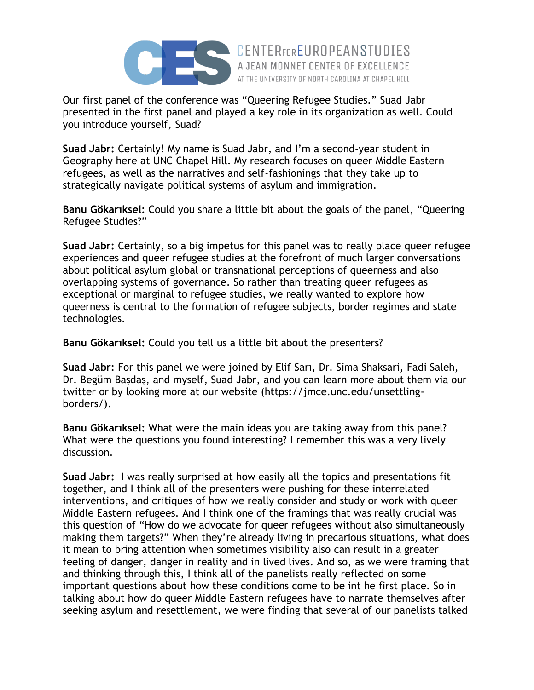

Our first panel of the conference was "Queering Refugee Studies." Suad Jabr presented in the first panel and played a key role in its organization as well. Could you introduce yourself, Suad?

AT THE UNIVERSITY OF NORTH CAROLINA AT CHAPEL HILL

**Suad Jabr:** Certainly! My name is Suad Jabr, and I'm a second-year student in Geography here at UNC Chapel Hill. My research focuses on queer Middle Eastern refugees, as well as the narratives and self-fashionings that they take up to strategically navigate political systems of asylum and immigration.

**Banu Gökarıksel:** Could you share a little bit about the goals of the panel, "Queering Refugee Studies?"

**Suad Jabr:** Certainly, so a big impetus for this panel was to really place queer refugee experiences and queer refugee studies at the forefront of much larger conversations about political asylum global or transnational perceptions of queerness and also overlapping systems of governance. So rather than treating queer refugees as exceptional or marginal to refugee studies, we really wanted to explore how queerness is central to the formation of refugee subjects, border regimes and state technologies.

**Banu Gökarıksel:** Could you tell us a little bit about the presenters?

**Suad Jabr:** For this panel we were joined by Elif Sarı, Dr. Sima Shaksari, Fadi Saleh, Dr. Begüm Başdaş, and myself, Suad Jabr, and you can learn more about them via our twitter or by looking more at our website (https://jmce.unc.edu/unsettlingborders/).

**Banu Gökarıksel:** What were the main ideas you are taking away from this panel? What were the questions you found interesting? I remember this was a very lively discussion.

**Suad Jabr:** I was really surprised at how easily all the topics and presentations fit together, and I think all of the presenters were pushing for these interrelated interventions, and critiques of how we really consider and study or work with queer Middle Eastern refugees. And I think one of the framings that was really crucial was this question of "How do we advocate for queer refugees without also simultaneously making them targets?" When they're already living in precarious situations, what does it mean to bring attention when sometimes visibility also can result in a greater feeling of danger, danger in reality and in lived lives. And so, as we were framing that and thinking through this, I think all of the panelists really reflected on some important questions about how these conditions come to be int he first place. So in talking about how do queer Middle Eastern refugees have to narrate themselves after seeking asylum and resettlement, we were finding that several of our panelists talked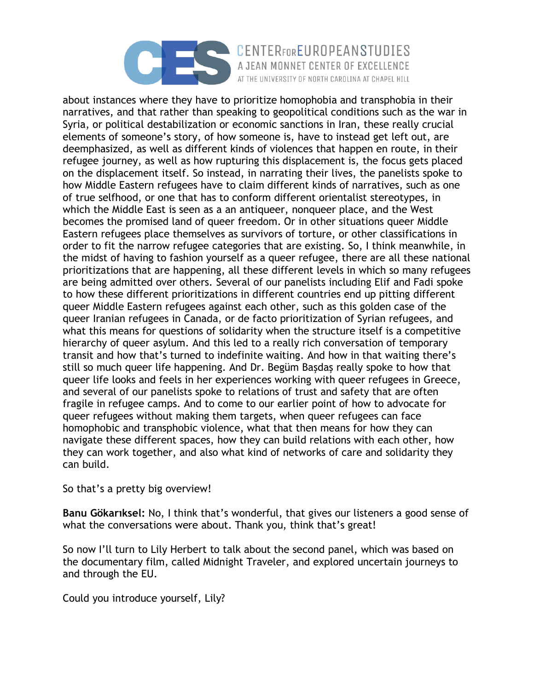

CENTERFOREUROPEANSTUDIES A JEAN MONNET CENTER OF EXCELLENCE AT THE UNIVERSITY OF NORTH CAROLINA AT CHAPEL HILL

about instances where they have to prioritize homophobia and transphobia in their narratives, and that rather than speaking to geopolitical conditions such as the war in Syria, or political destabilization or economic sanctions in Iran, these really crucial elements of someone's story, of how someone is, have to instead get left out, are deemphasized, as well as different kinds of violences that happen en route, in their refugee journey, as well as how rupturing this displacement is, the focus gets placed on the displacement itself. So instead, in narrating their lives, the panelists spoke to how Middle Eastern refugees have to claim different kinds of narratives, such as one of true selfhood, or one that has to conform different orientalist stereotypes, in which the Middle East is seen as a an antiqueer, nonqueer place, and the West becomes the promised land of queer freedom. Or in other situations queer Middle Eastern refugees place themselves as survivors of torture, or other classifications in order to fit the narrow refugee categories that are existing. So, I think meanwhile, in the midst of having to fashion yourself as a queer refugee, there are all these national prioritizations that are happening, all these different levels in which so many refugees are being admitted over others. Several of our panelists including Elif and Fadi spoke to how these different prioritizations in different countries end up pitting different queer Middle Eastern refugees against each other, such as this golden case of the queer Iranian refugees in Canada, or de facto prioritization of Syrian refugees, and what this means for questions of solidarity when the structure itself is a competitive hierarchy of queer asylum. And this led to a really rich conversation of temporary transit and how that's turned to indefinite waiting. And how in that waiting there's still so much queer life happening. And Dr. Begüm Başdaş really spoke to how that queer life looks and feels in her experiences working with queer refugees in Greece, and several of our panelists spoke to relations of trust and safety that are often fragile in refugee camps. And to come to our earlier point of how to advocate for queer refugees without making them targets, when queer refugees can face homophobic and transphobic violence, what that then means for how they can navigate these different spaces, how they can build relations with each other, how they can work together, and also what kind of networks of care and solidarity they can build.

So that's a pretty big overview!

**Banu Gökarıksel:** No, I think that's wonderful, that gives our listeners a good sense of what the conversations were about. Thank you, think that's great!

So now I'll turn to Lily Herbert to talk about the second panel, which was based on the documentary film, called Midnight Traveler, and explored uncertain journeys to and through the EU.

Could you introduce yourself, Lily?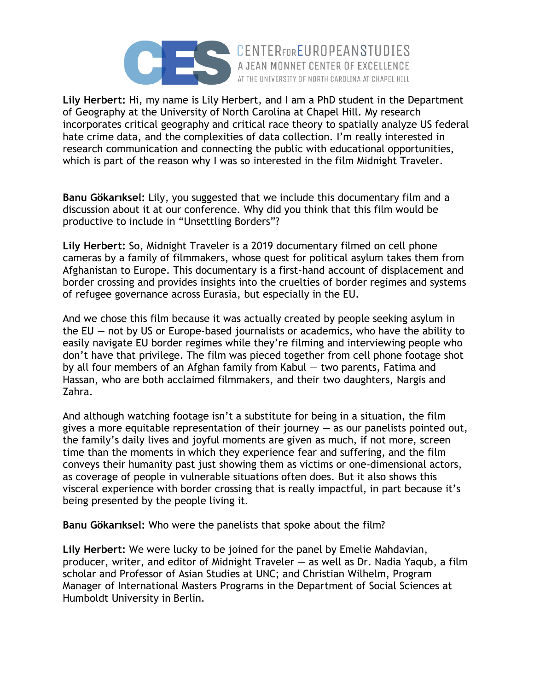

**Lily Herbert:** Hi, my name is Lily Herbert, and I am a PhD student in the Department of Geography at the University of North Carolina at Chapel Hill. My research incorporates critical geography and critical race theory to spatially analyze US federal hate crime data, and the complexities of data collection. I'm really interested in research communication and connecting the public with educational opportunities, which is part of the reason why I was so interested in the film Midnight Traveler.

AT THE UNIVERSITY OF NORTH CAROLINA AT CHAPEL HILL

**Banu Gökarıksel:** Lily, you suggested that we include this documentary film and a discussion about it at our conference. Why did you think that this film would be productive to include in "Unsettling Borders"?

**Lily Herbert:** So, Midnight Traveler is a 2019 documentary filmed on cell phone cameras by a family of filmmakers, whose quest for political asylum takes them from Afghanistan to Europe. This documentary is a first-hand account of displacement and border crossing and provides insights into the cruelties of border regimes and systems of refugee governance across Eurasia, but especially in the EU.

And we chose this film because it was actually created by people seeking asylum in the  $EU$  – not by US or Europe-based journalists or academics, who have the ability to easily navigate EU border regimes while they're filming and interviewing people who don't have that privilege. The film was pieced together from cell phone footage shot by all four members of an Afghan family from Kabul — two parents, Fatima and Hassan, who are both acclaimed filmmakers, and their two daughters, Nargis and Zahra.

And although watching footage isn't a substitute for being in a situation, the film gives a more equitable representation of their journey  $-$  as our panelists pointed out, the family's daily lives and joyful moments are given as much, if not more, screen time than the moments in which they experience fear and suffering, and the film conveys their humanity past just showing them as victims or one-dimensional actors, as coverage of people in vulnerable situations often does. But it also shows this visceral experience with border crossing that is really impactful, in part because it's being presented by the people living it.

**Banu Gökarıksel:** Who were the panelists that spoke about the film?

**Lily Herbert:** We were lucky to be joined for the panel by Emelie Mahdavian, producer, writer, and editor of Midnight Traveler — as well as Dr. Nadia Yaqub, a film scholar and Professor of Asian Studies at UNC; and Christian Wilhelm, Program Manager of International Masters Programs in the Department of Social Sciences at Humboldt University in Berlin.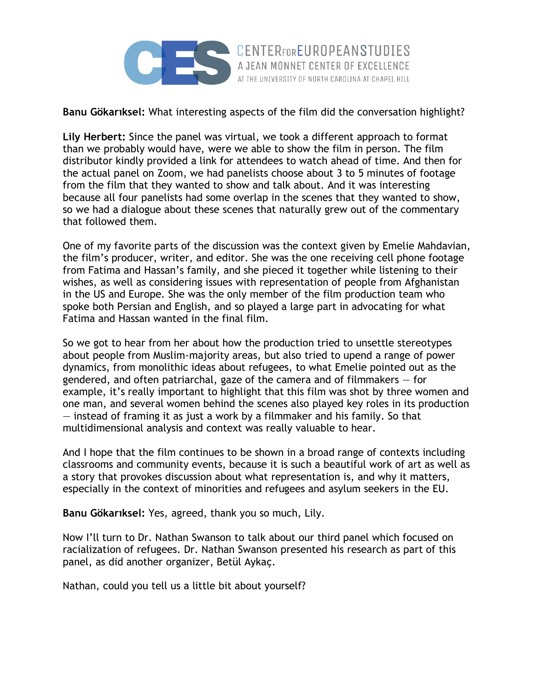

**Banu Gökarıksel:** What interesting aspects of the film did the conversation highlight?

AT THE UNIVERSITY OF NORTH CAROLINA AT CHAPEL HILL

**Lily Herbert:** Since the panel was virtual, we took a different approach to format than we probably would have, were we able to show the film in person. The film distributor kindly provided a link for attendees to watch ahead of time. And then for the actual panel on Zoom, we had panelists choose about 3 to 5 minutes of footage from the film that they wanted to show and talk about. And it was interesting because all four panelists had some overlap in the scenes that they wanted to show, so we had a dialogue about these scenes that naturally grew out of the commentary that followed them.

One of my favorite parts of the discussion was the context given by Emelie Mahdavian, the film's producer, writer, and editor. She was the one receiving cell phone footage from Fatima and Hassan's family, and she pieced it together while listening to their wishes, as well as considering issues with representation of people from Afghanistan in the US and Europe. She was the only member of the film production team who spoke both Persian and English, and so played a large part in advocating for what Fatima and Hassan wanted in the final film.

So we got to hear from her about how the production tried to unsettle stereotypes about people from Muslim-majority areas, but also tried to upend a range of power dynamics, from monolithic ideas about refugees, to what Emelie pointed out as the gendered, and often patriarchal, gaze of the camera and of filmmakers  $-$  for example, it's really important to highlight that this film was shot by three women and one man, and several women behind the scenes also played key roles in its production — instead of framing it as just a work by a filmmaker and his family. So that multidimensional analysis and context was really valuable to hear.

And I hope that the film continues to be shown in a broad range of contexts including classrooms and community events, because it is such a beautiful work of art as well as a story that provokes discussion about what representation is, and why it matters, especially in the context of minorities and refugees and asylum seekers in the EU.

**Banu Gökarıksel:** Yes, agreed, thank you so much, Lily.

Now I'll turn to Dr. Nathan Swanson to talk about our third panel which focused on racialization of refugees. Dr. Nathan Swanson presented his research as part of this panel, as did another organizer, Betül Aykaç.

Nathan, could you tell us a little bit about yourself?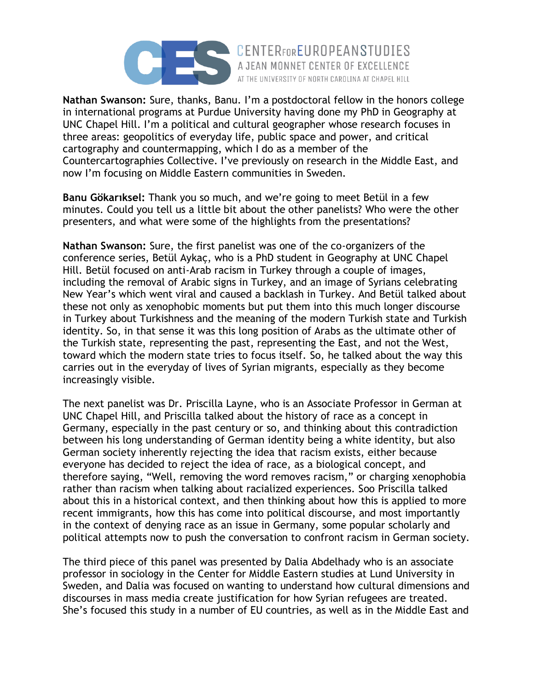

**Nathan Swanson:** Sure, thanks, Banu. I'm a postdoctoral fellow in the honors college in international programs at Purdue University having done my PhD in Geography at UNC Chapel Hill. I'm a political and cultural geographer whose research focuses in three areas: geopolitics of everyday life, public space and power, and critical cartography and countermapping, which I do as a member of the Countercartographies Collective. I've previously on research in the Middle East, and now I'm focusing on Middle Eastern communities in Sweden.

AT THE UNIVERSITY OF NORTH CAROLINA AT CHAPEL HILL

**Banu Gökarıksel:** Thank you so much, and we're going to meet Betül in a few minutes. Could you tell us a little bit about the other panelists? Who were the other presenters, and what were some of the highlights from the presentations?

**Nathan Swanson:** Sure, the first panelist was one of the co-organizers of the conference series, Betül Aykaç, who is a PhD student in Geography at UNC Chapel Hill. Betül focused on anti-Arab racism in Turkey through a couple of images, including the removal of Arabic signs in Turkey, and an image of Syrians celebrating New Year's which went viral and caused a backlash in Turkey. And Betül talked about these not only as xenophobic moments but put them into this much longer discourse in Turkey about Turkishness and the meaning of the modern Turkish state and Turkish identity. So, in that sense it was this long position of Arabs as the ultimate other of the Turkish state, representing the past, representing the East, and not the West, toward which the modern state tries to focus itself. So, he talked about the way this carries out in the everyday of lives of Syrian migrants, especially as they become increasingly visible.

The next panelist was Dr. Priscilla Layne, who is an Associate Professor in German at UNC Chapel Hill, and Priscilla talked about the history of race as a concept in Germany, especially in the past century or so, and thinking about this contradiction between his long understanding of German identity being a white identity, but also German society inherently rejecting the idea that racism exists, either because everyone has decided to reject the idea of race, as a biological concept, and therefore saying, "Well, removing the word removes racism," or charging xenophobia rather than racism when talking about racialized experiences. Soo Priscilla talked about this in a historical context, and then thinking about how this is applied to more recent immigrants, how this has come into political discourse, and most importantly in the context of denying race as an issue in Germany, some popular scholarly and political attempts now to push the conversation to confront racism in German society.

The third piece of this panel was presented by Dalia Abdelhady who is an associate professor in sociology in the Center for Middle Eastern studies at Lund University in Sweden, and Dalia was focused on wanting to understand how cultural dimensions and discourses in mass media create justification for how Syrian refugees are treated. She's focused this study in a number of EU countries, as well as in the Middle East and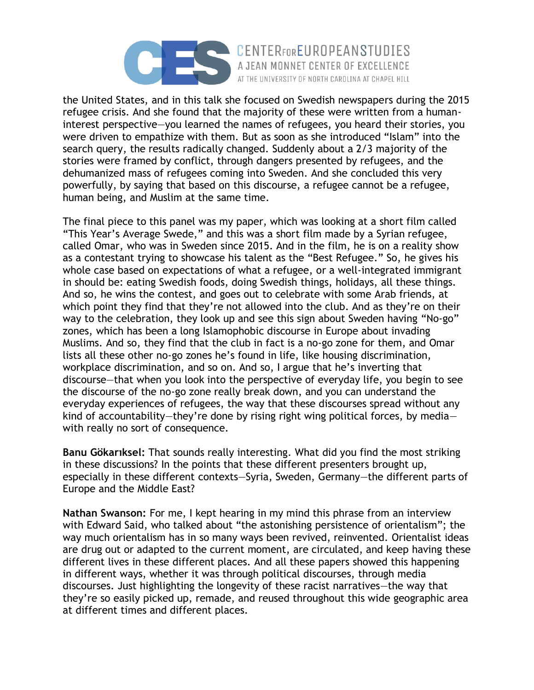

the United States, and in this talk she focused on Swedish newspapers during the 2015 refugee crisis. And she found that the majority of these were written from a humaninterest perspective—you learned the names of refugees, you heard their stories, you were driven to empathize with them. But as soon as she introduced "Islam" into the search query, the results radically changed. Suddenly about a 2/3 majority of the stories were framed by conflict, through dangers presented by refugees, and the dehumanized mass of refugees coming into Sweden. And she concluded this very powerfully, by saying that based on this discourse, a refugee cannot be a refugee, human being, and Muslim at the same time.

AT THE UNIVERSITY OF NORTH CAROLINA AT CHAPEL HILL

The final piece to this panel was my paper, which was looking at a short film called "This Year's Average Swede," and this was a short film made by a Syrian refugee, called Omar, who was in Sweden since 2015. And in the film, he is on a reality show as a contestant trying to showcase his talent as the "Best Refugee." So, he gives his whole case based on expectations of what a refugee, or a well-integrated immigrant in should be: eating Swedish foods, doing Swedish things, holidays, all these things. And so, he wins the contest, and goes out to celebrate with some Arab friends, at which point they find that they're not allowed into the club. And as they're on their way to the celebration, they look up and see this sign about Sweden having "No-go" zones, which has been a long Islamophobic discourse in Europe about invading Muslims. And so, they find that the club in fact is a no-go zone for them, and Omar lists all these other no-go zones he's found in life, like housing discrimination, workplace discrimination, and so on. And so, I argue that he's inverting that discourse—that when you look into the perspective of everyday life, you begin to see the discourse of the no-go zone really break down, and you can understand the everyday experiences of refugees, the way that these discourses spread without any kind of accountability—they're done by rising right wing political forces, by media with really no sort of consequence.

**Banu Gökarıksel:** That sounds really interesting. What did you find the most striking in these discussions? In the points that these different presenters brought up, especially in these different contexts—Syria, Sweden, Germany—the different parts of Europe and the Middle East?

**Nathan Swanson:** For me, I kept hearing in my mind this phrase from an interview with Edward Said, who talked about "the astonishing persistence of orientalism"; the way much orientalism has in so many ways been revived, reinvented. Orientalist ideas are drug out or adapted to the current moment, are circulated, and keep having these different lives in these different places. And all these papers showed this happening in different ways, whether it was through political discourses, through media discourses. Just highlighting the longevity of these racist narratives—the way that they're so easily picked up, remade, and reused throughout this wide geographic area at different times and different places.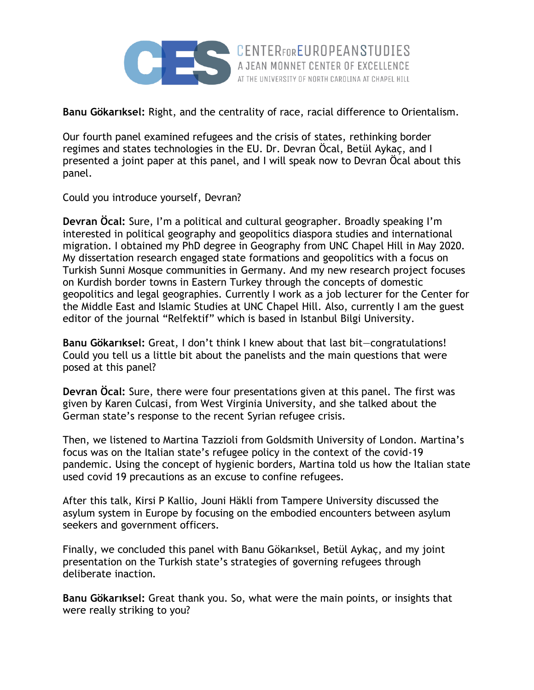

**Banu Gökarıksel:** Right, and the centrality of race, racial difference to Orientalism.

Our fourth panel examined refugees and the crisis of states, rethinking border regimes and states technologies in the EU. Dr. Devran Öcal, Betül Aykaç, and I presented a joint paper at this panel, and I will speak now to Devran Öcal about this panel.

Could you introduce yourself, Devran?

**Devran Öcal:** Sure, I'm a political and cultural geographer. Broadly speaking I'm interested in political geography and geopolitics diaspora studies and international migration. I obtained my PhD degree in Geography from UNC Chapel Hill in May 2020. My dissertation research engaged state formations and geopolitics with a focus on Turkish Sunni Mosque communities in Germany. And my new research project focuses on Kurdish border towns in Eastern Turkey through the concepts of domestic geopolitics and legal geographies. Currently I work as a job lecturer for the Center for the Middle East and Islamic Studies at UNC Chapel Hill. Also, currently I am the guest editor of the journal "Relfektif" which is based in Istanbul Bilgi University.

**Banu Gökarıksel:** Great, I don't think I knew about that last bit—congratulations! Could you tell us a little bit about the panelists and the main questions that were posed at this panel?

**Devran Öcal:** Sure, there were four presentations given at this panel. The first was given by Karen Culcasi, from West Virginia University, and she talked about the German state's response to the recent Syrian refugee crisis.

Then, we listened to Martina Tazzioli from Goldsmith University of London. Martina's focus was on the Italian state's refugee policy in the context of the covid-19 pandemic. Using the concept of hygienic borders, Martina told us how the Italian state used covid 19 precautions as an excuse to confine refugees.

After this talk, Kirsi P Kallio, Jouni Häkli from Tampere University discussed the asylum system in Europe by focusing on the embodied encounters between asylum seekers and government officers.

Finally, we concluded this panel with Banu Gökarıksel, Betül Aykaç, and my joint presentation on the Turkish state's strategies of governing refugees through deliberate inaction.

**Banu Gökarıksel:** Great thank you. So, what were the main points, or insights that were really striking to you?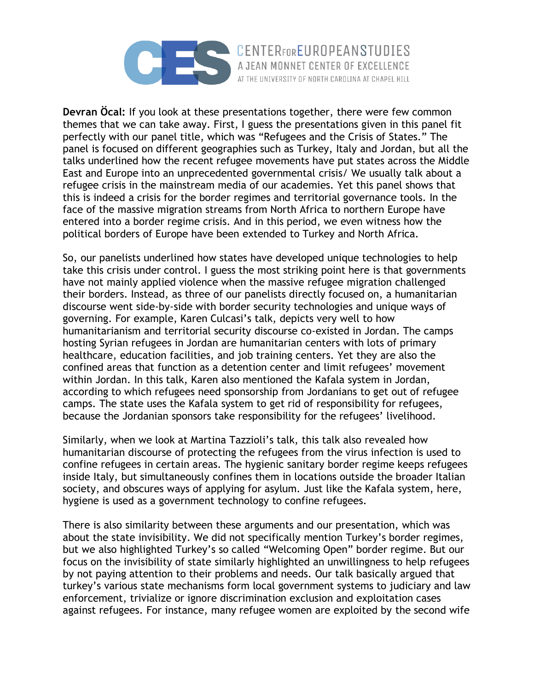

**Devran Öcal:** If you look at these presentations together, there were few common themes that we can take away. First, I guess the presentations given in this panel fit perfectly with our panel title, which was "Refugees and the Crisis of States." The panel is focused on different geographies such as Turkey, Italy and Jordan, but all the talks underlined how the recent refugee movements have put states across the Middle East and Europe into an unprecedented governmental crisis/ We usually talk about a refugee crisis in the mainstream media of our academies. Yet this panel shows that this is indeed a crisis for the border regimes and territorial governance tools. In the face of the massive migration streams from North Africa to northern Europe have entered into a border regime crisis. And in this period, we even witness how the political borders of Europe have been extended to Turkey and North Africa.

So, our panelists underlined how states have developed unique technologies to help take this crisis under control. I guess the most striking point here is that governments have not mainly applied violence when the massive refugee migration challenged their borders. Instead, as three of our panelists directly focused on, a humanitarian discourse went side-by-side with border security technologies and unique ways of governing. For example, Karen Culcasi's talk, depicts very well to how humanitarianism and territorial security discourse co-existed in Jordan. The camps hosting Syrian refugees in Jordan are humanitarian centers with lots of primary healthcare, education facilities, and job training centers. Yet they are also the confined areas that function as a detention center and limit refugees' movement within Jordan. In this talk, Karen also mentioned the Kafala system in Jordan, according to which refugees need sponsorship from Jordanians to get out of refugee camps. The state uses the Kafala system to get rid of responsibility for refugees, because the Jordanian sponsors take responsibility for the refugees' livelihood.

Similarly, when we look at Martina Tazzioli's talk, this talk also revealed how humanitarian discourse of protecting the refugees from the virus infection is used to confine refugees in certain areas. The hygienic sanitary border regime keeps refugees inside Italy, but simultaneously confines them in locations outside the broader Italian society, and obscures ways of applying for asylum. Just like the Kafala system, here, hygiene is used as a government technology to confine refugees.

There is also similarity between these arguments and our presentation, which was about the state invisibility. We did not specifically mention Turkey's border regimes, but we also highlighted Turkey's so called "Welcoming Open" border regime. But our focus on the invisibility of state similarly highlighted an unwillingness to help refugees by not paying attention to their problems and needs. Our talk basically argued that turkey's various state mechanisms form local government systems to judiciary and law enforcement, trivialize or ignore discrimination exclusion and exploitation cases against refugees. For instance, many refugee women are exploited by the second wife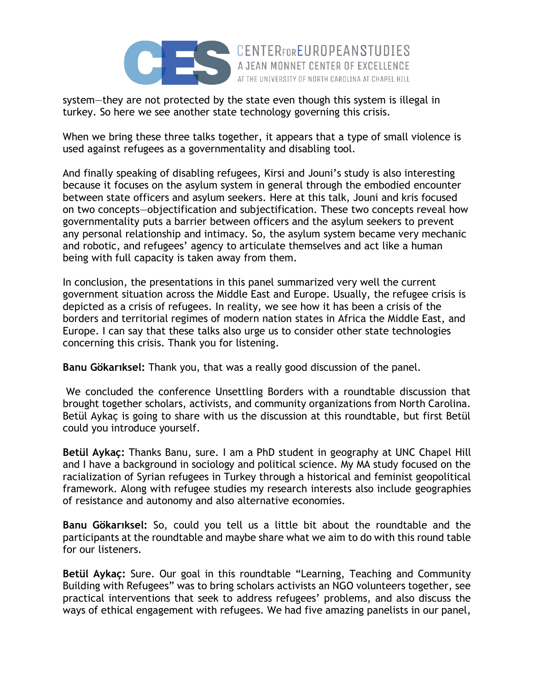

system—they are not protected by the state even though this system is illegal in turkey. So here we see another state technology governing this crisis.

When we bring these three talks together, it appears that a type of small violence is used against refugees as a governmentality and disabling tool.

AT THE UNIVERSITY OF NORTH CAROLINA AT CHAPEL HILL

And finally speaking of disabling refugees, Kirsi and Jouni's study is also interesting because it focuses on the asylum system in general through the embodied encounter between state officers and asylum seekers. Here at this talk, Jouni and kris focused on two concepts—objectification and subjectification. These two concepts reveal how governmentality puts a barrier between officers and the asylum seekers to prevent any personal relationship and intimacy. So, the asylum system became very mechanic and robotic, and refugees' agency to articulate themselves and act like a human being with full capacity is taken away from them.

In conclusion, the presentations in this panel summarized very well the current government situation across the Middle East and Europe. Usually, the refugee crisis is depicted as a crisis of refugees. In reality, we see how it has been a crisis of the borders and territorial regimes of modern nation states in Africa the Middle East, and Europe. I can say that these talks also urge us to consider other state technologies concerning this crisis. Thank you for listening.

**Banu Gökarıksel:** Thank you, that was a really good discussion of the panel.

We concluded the conference Unsettling Borders with a roundtable discussion that brought together scholars, activists, and community organizations from North Carolina. Betül Aykaç is going to share with us the discussion at this roundtable, but first Betül could you introduce yourself.

**Betül Aykaç:** Thanks Banu, sure. I am a PhD student in geography at UNC Chapel Hill and I have a background in sociology and political science. My MA study focused on the racialization of Syrian refugees in Turkey through a historical and feminist geopolitical framework. Along with refugee studies my research interests also include geographies of resistance and autonomy and also alternative economies.

**Banu Gökarıksel:** So, could you tell us a little bit about the roundtable and the participants at the roundtable and maybe share what we aim to do with this round table for our listeners.

**Betül Aykaç:** Sure. Our goal in this roundtable "Learning, Teaching and Community Building with Refugees" was to bring scholars activists an NGO volunteers together, see practical interventions that seek to address refugees' problems, and also discuss the ways of ethical engagement with refugees. We had five amazing panelists in our panel,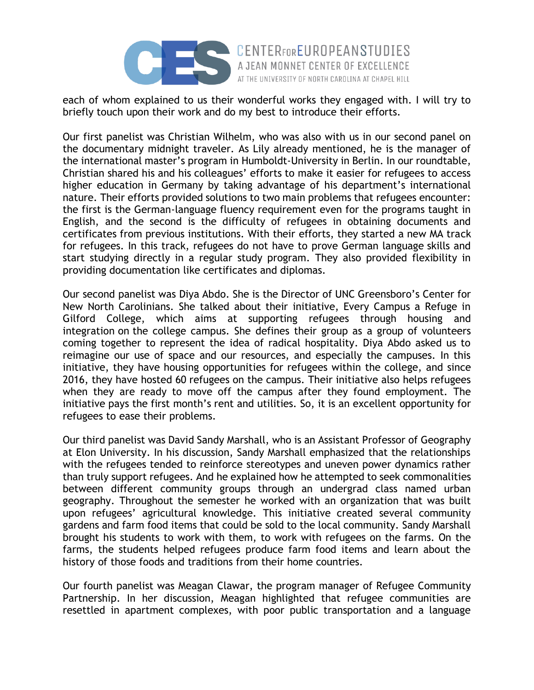

each of whom explained to us their wonderful works they engaged with. I will try to briefly touch upon their work and do my best to introduce their efforts.

AT THE UNIVERSITY OF NORTH CAROLINA AT CHAPEL HILL

Our first panelist was Christian Wilhelm, who was also with us in our second panel on the documentary midnight traveler. As Lily already mentioned, he is the manager of the international master's program in Humboldt-University in Berlin. In our roundtable, Christian shared his and his colleagues' efforts to make it easier for refugees to access higher education in Germany by taking advantage of his department's international nature. Their efforts provided solutions to two main problems that refugees encounter: the first is the German-language fluency requirement even for the programs taught in English, and the second is the difficulty of refugees in obtaining documents and certificates from previous institutions. With their efforts, they started a new MA track for refugees. In this track, refugees do not have to prove German language skills and start studying directly in a regular study program. They also provided flexibility in providing documentation like certificates and diplomas.

Our second panelist was Diya Abdo. She is the Director of UNC Greensboro's Center for New North Carolinians. She talked about their initiative, Every Campus a Refuge in Gilford College, which aims at supporting refugees through housing and integration on the college campus. She defines their group as a group of volunteers coming together to represent the idea of radical hospitality. Diya Abdo asked us to reimagine our use of space and our resources, and especially the campuses. In this initiative, they have housing opportunities for refugees within the college, and since 2016, they have hosted 60 refugees on the campus. Their initiative also helps refugees when they are ready to move off the campus after they found employment. The initiative pays the first month's rent and utilities. So, it is an excellent opportunity for refugees to ease their problems.

Our third panelist was David Sandy Marshall, who is an Assistant Professor of Geography at Elon University. In his discussion, Sandy Marshall emphasized that the relationships with the refugees tended to reinforce stereotypes and uneven power dynamics rather than truly support refugees. And he explained how he attempted to seek commonalities between different community groups through an undergrad class named urban geography. Throughout the semester he worked with an organization that was built upon refugees' agricultural knowledge. This initiative created several community gardens and farm food items that could be sold to the local community. Sandy Marshall brought his students to work with them, to work with refugees on the farms. On the farms, the students helped refugees produce farm food items and learn about the history of those foods and traditions from their home countries.

Our fourth panelist was Meagan Clawar, the program manager of Refugee Community Partnership. In her discussion, Meagan highlighted that refugee communities are resettled in apartment complexes, with poor public transportation and a language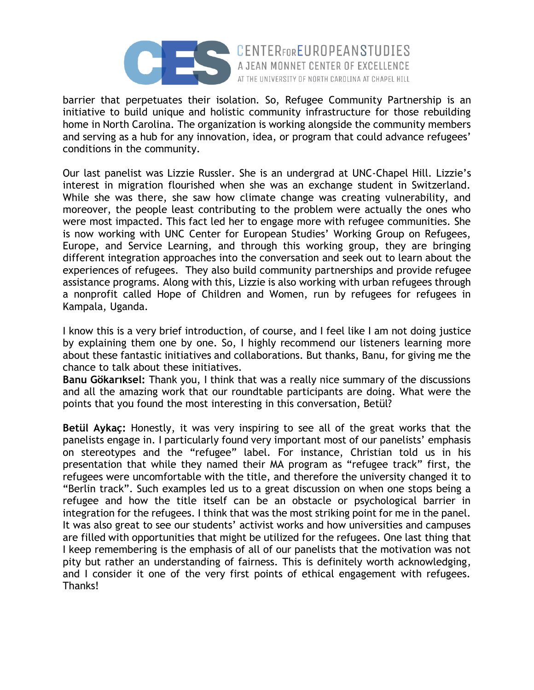

barrier that perpetuates their isolation. So, Refugee Community Partnership is an initiative to build unique and holistic community infrastructure for those rebuilding home in North Carolina. The organization is working alongside the community members and serving as a hub for any innovation, idea, or program that could advance refugees' conditions in the community.

AT THE UNIVERSITY OF NORTH CAROLINA AT CHAPEL HILL

Our last panelist was Lizzie Russler. She is an undergrad at UNC-Chapel Hill. Lizzie's interest in migration flourished when she was an exchange student in Switzerland. While she was there, she saw how climate change was creating vulnerability, and moreover, the people least contributing to the problem were actually the ones who were most impacted. This fact led her to engage more with refugee communities. She is now working with UNC Center for European Studies' Working Group on Refugees, Europe, and Service Learning, and through this working group, they are bringing different integration approaches into the conversation and seek out to learn about the experiences of refugees. They also build community partnerships and provide refugee assistance programs. Along with this, Lizzie is also working with urban refugees through a nonprofit called Hope of Children and Women, run by refugees for refugees in Kampala, Uganda.

I know this is a very brief introduction, of course, and I feel like I am not doing justice by explaining them one by one. So, I highly recommend our listeners learning more about these fantastic initiatives and collaborations. But thanks, Banu, for giving me the chance to talk about these initiatives.

**Banu Gökarıksel:** Thank you, I think that was a really nice summary of the discussions and all the amazing work that our roundtable participants are doing. What were the points that you found the most interesting in this conversation, Betül?

**Betül Aykaç:** Honestly, it was very inspiring to see all of the great works that the panelists engage in. I particularly found very important most of our panelists' emphasis on stereotypes and the "refugee" label. For instance, Christian told us in his presentation that while they named their MA program as "refugee track" first, the refugees were uncomfortable with the title, and therefore the university changed it to "Berlin track". Such examples led us to a great discussion on when one stops being a refugee and how the title itself can be an obstacle or psychological barrier in integration for the refugees. I think that was the most striking point for me in the panel. It was also great to see our students' activist works and how universities and campuses are filled with opportunities that might be utilized for the refugees. One last thing that I keep remembering is the emphasis of all of our panelists that the motivation was not pity but rather an understanding of fairness. This is definitely worth acknowledging, and I consider it one of the very first points of ethical engagement with refugees. Thanks!